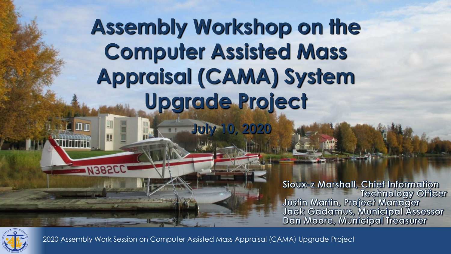## **Assembly Workshop on the Computer Assisted Mass Appraisal (CAMA) System Upgrade Project**

**July 10, 2020**

Sioux-z Marshall, Chief Information Sioux-2 Marshan, Christminonialion<br>Technology Officer<br>Justin Martin, Project Manager<br>Jack Gadamus, Municipal Assessor<br>Dan Moore, Municipal Treasurer

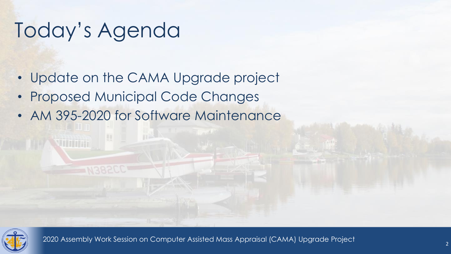### Today's Agenda

- Update on the CAMA Upgrade project
- Proposed Municipal Code Changes
- AM 395-2020 for Software Maintenance

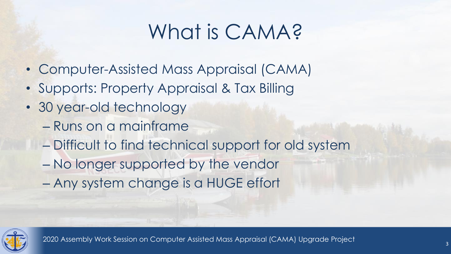## What is CAMA?

- Computer-Assisted Mass Appraisal (CAMA)
- Supports: Property Appraisal & Tax Billing
- 30 year-old technology
	- Runs on a mainframe
	- Difficult to find technical support for old system
	- No longer supported by the vendor
	- Any system change is a HUGE effort

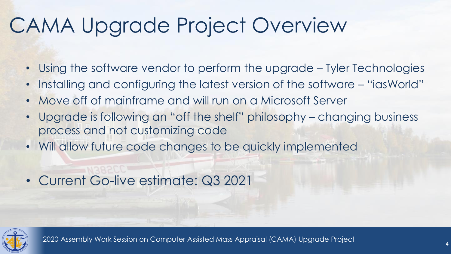## CAMA Upgrade Project Overview

- Using the software vendor to perform the upgrade Tyler Technologies
- Installing and configuring the latest version of the software "iasWorld"
- Move off of mainframe and will run on a Microsoft Server
- Upgrade is following an "off the shelf" philosophy changing business process and not customizing code
- Will allow future code changes to be quickly implemented
- Current Go-live estimate: Q3 2021

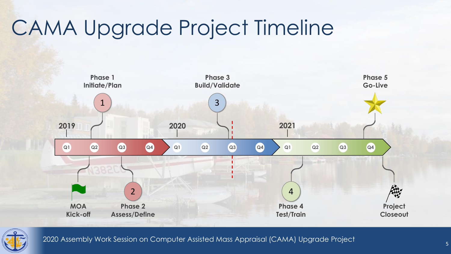## CAMA Upgrade Project Timeline



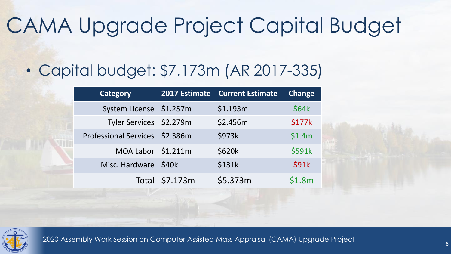## CAMA Upgrade Project Capital Budget

### • Capital budget: \$7.173m (AR 2017-335)

| <b>Category</b>                | 2017 Estimate  | <b>Current Estimate</b> | <b>Change</b> |
|--------------------------------|----------------|-------------------------|---------------|
| System License \$1.257m        |                | \$1.193m                | \$64k         |
| Tyler Services \$2.279m        |                | \$2.456m                | \$177k        |
| Professional Services \$2.386m |                | \$973k                  | \$1.4m        |
| MOA Labor \$1.211m             |                | \$620k                  | \$591k        |
| Misc. Hardware                 | \$40k          | \$131k                  | <b>\$91k</b>  |
|                                | Total \$7.173m | \$5.373m                | \$1.8m        |

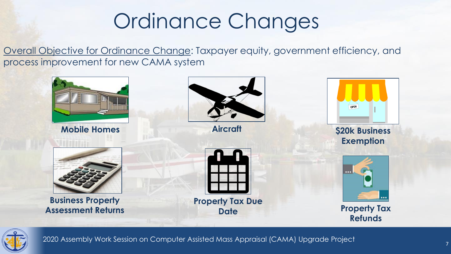### Ordinance Changes

Overall Objective for Ordinance Change: Taxpayer equity, government efficiency, and process improvement for new CAMA system



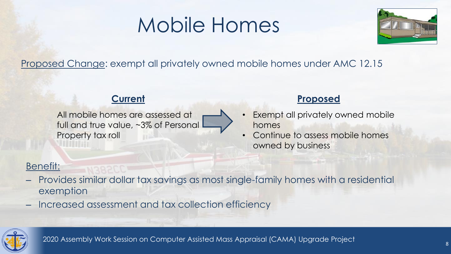### Mobile Homes



### Proposed Change: exempt all privately owned mobile homes under AMC 12.15

All mobile homes are assessed at full and true value, ~3% of Personal Property tax roll

#### **Current Proposed**

- Exempt all privately owned mobile homes
- Continue to assess mobile homes owned by business

### Benefit:

- Provides similar dollar tax savings as most single-family homes with a residential exemption
- Increased assessment and tax collection efficiency

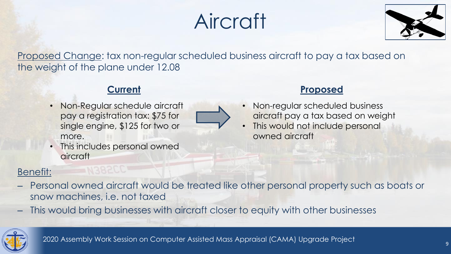## Aircraft



Proposed Change: tax non-regular scheduled business aircraft to pay a tax based on the weight of the plane under 12.08

• Non-Regular schedule aircraft pay a registration tax: \$75 for single engine, \$125 for two or more.



• This includes personal owned **aircraft** 

#### **Current Proposed**

- Non-regular scheduled business aircraft pay a tax based on weight
- This would not include personal owned aircraft

#### Benefit:

- Personal owned aircraft would be treated like other personal property such as boats or snow machines, i.e. not taxed
- This would bring businesses with aircraft closer to equity with other businesses

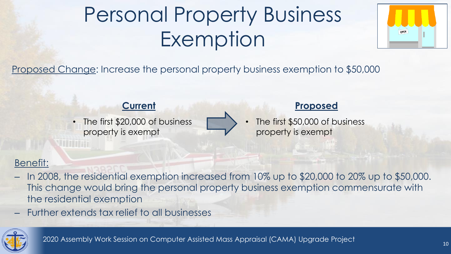## Personal Property Business Exemption



Proposed Change: Increase the personal property business exemption to \$50,000

The first \$20,000 of business property is exempt



#### **Current Proposed**

The first \$50,000 of business property is exempt

### Benefit:

- In 2008, the residential exemption increased from 10% up to \$20,000 to 20% up to \$50,000. This change would bring the personal property business exemption commensurate with the residential exemption
- Further extends tax relief to all businesses

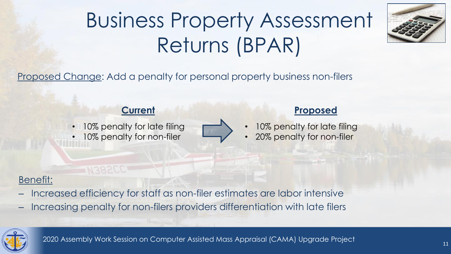## Business Property Assessment Returns (BPAR)



Proposed Change: Add a penalty for personal property business non-filers

• 10% penalty for late filing 10% penalty for non-filer



#### **Current Proposed**

- 10% penalty for late filing
- 20% penalty for non-filer

### Benefit:

- Increased efficiency for staff as non-filer estimates are labor intensive
- Increasing penalty for non-filers providers differentiation with late filers

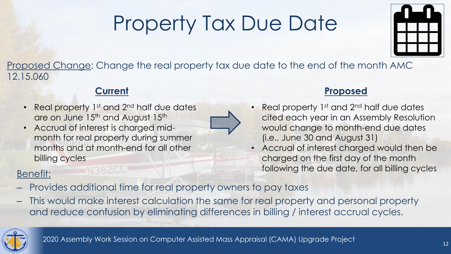## Property Tax Due Date



Proposed Change: Change the real property tax due date to the end of the month AMC 12.15.060

- Real property 1<sup>st</sup> and 2<sup>nd</sup> half due dates are on June 15<sup>th</sup> and August 15<sup>th</sup>
- Accrual of interest is charged midmonth for real property during summer months and at month-end for all other billing cycles

### Benefit:

- Provides additional time for real property owners to pay taxes
- This would make interest calculation the same for real property and personal property and reduce confusion by eliminating differences in billing / interest accrual cycles.



#### **Current Proposed**

- Real property  $1<sup>st</sup>$  and  $2<sup>nd</sup>$  half due dates cited each year in an Assembly Resolution would change to month-end due dates (i.e., June 30 and August 31)
- Accrual of interest charged would then be charged on the first day of the month following the due date, for all billing cycles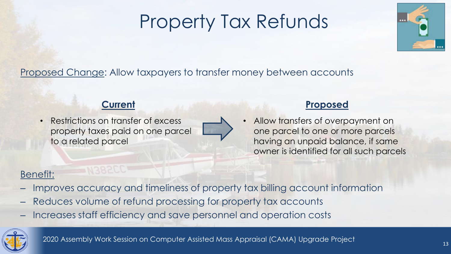### Property Tax Refunds



### Proposed Change: Allow taxpayers to transfer money between accounts

• Restrictions on transfer of excess property taxes paid on one parcel to a related parcel



#### **Current Proposed**

• Allow transfers of overpayment on one parcel to one or more parcels having an unpaid balance, if same owner is identified for all such parcels

### Benefit:

- Improves accuracy and timeliness of property tax billing account information
- Reduces volume of refund processing for property tax accounts
- Increases staff efficiency and save personnel and operation costs

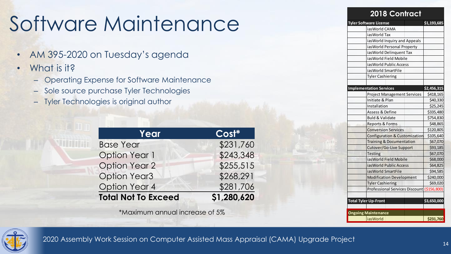## Software Maintenance

- AM 395-2020 on Tuesday's agenda
- What is it?
	- Operating Expense for Software Maintenance
	- Sole source purchase Tyler Technologies
	- Tyler Technologies is original author

| Year                       | $ Cost^* $  |  |
|----------------------------|-------------|--|
| <b>Base Year</b>           | \$231,760   |  |
| <b>Option Year 1</b>       | \$243,348   |  |
| <b>Option Year 2</b>       | \$255,515   |  |
| <b>Option Year3</b>        | \$268,291   |  |
| <b>Option Year 4</b>       | \$281,706   |  |
| <b>Total Not To Exceed</b> | \$1,280,620 |  |

\*Maximum annual increase of 5%

| <b>2018 Contract</b>                       |             |  |  |  |
|--------------------------------------------|-------------|--|--|--|
| <b>Tyler Software License</b>              | \$1,193,685 |  |  |  |
| iasWorld CAMA                              |             |  |  |  |
| iasWorld Tax                               |             |  |  |  |
| ias World Inquiry and Appeals              |             |  |  |  |
| ias World Personal Property                |             |  |  |  |
| ias World Delinquent Tax                   |             |  |  |  |
| ias World Field Mobile                     |             |  |  |  |
| ias World Public Access                    |             |  |  |  |
| iasWorld SmartFile                         |             |  |  |  |
| <b>Tyler Cashiering</b>                    |             |  |  |  |
|                                            |             |  |  |  |
| <b>Implementation Services</b>             | \$2,456,315 |  |  |  |
| <b>Project Management Services</b>         | \$418,165   |  |  |  |
| Initiate & Plan                            | \$40,330    |  |  |  |
| Installation                               | \$25,245    |  |  |  |
| Assess & Define                            | \$335,480   |  |  |  |
| <b>Buld &amp; Validate</b>                 | \$754,830   |  |  |  |
| <b>Reports &amp; Forms</b>                 | \$48,865    |  |  |  |
| <b>Conversion Services</b>                 | \$120,805   |  |  |  |
| <b>Configuration &amp; Customization</b>   | \$105,640   |  |  |  |
| <b>Training &amp; Documentation</b>        | \$67,070    |  |  |  |
| Cutover/Go-Live Support                    | \$93,185    |  |  |  |
| <b>Testing</b>                             | \$67,070    |  |  |  |
| iasWorld Field Mobile                      | \$68,000    |  |  |  |
| ias World Public Access                    | \$64,825    |  |  |  |
| iasWorld SmartFile                         | \$94,585    |  |  |  |
| <b>Modification Development</b>            | \$240,000   |  |  |  |
| <b>Tyler Cashiering</b>                    | \$69,020    |  |  |  |
| Professional Services Discount (\$156,800) |             |  |  |  |
|                                            |             |  |  |  |
| <b>Total Tyler Up-Front</b>                | \$3,650,000 |  |  |  |
|                                            |             |  |  |  |
| <b>Ongoing Maintenance</b>                 |             |  |  |  |
| iasWorld                                   | \$231,760   |  |  |  |